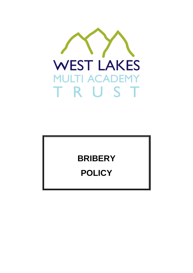

# **BRIBERY**

# **POLICY**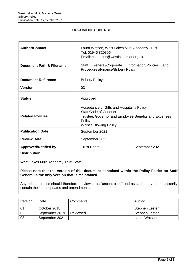## **DOCUMENT CONTROL**

| <b>Author/Contact</b><br>Document Path & Filename       | Laura Watson, West Lakes Multi Academy Trust<br>Tel: 01946 820356<br>Email: contactus@westlakesmat.org.uk<br>General/Corporate Information/Policies and<br>Staff<br>Procedures/Finance/Bribery Policy |                |  |
|---------------------------------------------------------|-------------------------------------------------------------------------------------------------------------------------------------------------------------------------------------------------------|----------------|--|
| <b>Document Reference</b>                               | <b>Bribery Policy</b>                                                                                                                                                                                 |                |  |
| <b>Version</b>                                          | 03                                                                                                                                                                                                    |                |  |
|                                                         |                                                                                                                                                                                                       |                |  |
| <b>Status</b>                                           | Approved                                                                                                                                                                                              |                |  |
| <b>Related Policies</b>                                 | Acceptance of Gifts and Hospitality Policy<br><b>Staff Code of Conduct</b><br>Trustee, Governor and Employee Benefits and Expenses<br>Policy<br><b>Whistle Blowing Policy</b>                         |                |  |
| <b>Publication Date</b>                                 | September 2021                                                                                                                                                                                        |                |  |
| <b>Review Date</b>                                      | September 2023                                                                                                                                                                                        |                |  |
| <b>Approved/Ratified by</b><br><b>PERSONAL PROPERTY</b> | <b>Trust Board</b>                                                                                                                                                                                    | September 2021 |  |

**Distribution:** 

West Lakes Multi Academy Trust Staff

**Please note that the version of this document contained within the Policy Folder on Staff General is the only version that is maintained.** 

Any printed copies should therefore be viewed as "uncontrolled" and as such, may not necessarily contain the latest updates and amendments.

| Version | Date           | Comments | Author                |
|---------|----------------|----------|-----------------------|
| -01     | October 2018   |          | <b>Stephen Lester</b> |
| 02      | September 2019 | Reviewed | <b>Stephen Lester</b> |
| 03      | September 2021 |          | Laura Watson          |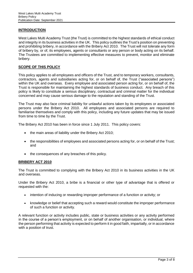## **INTRODUCTION**

West Lakes Multi Academy Trust (the Trust) is committed to the highest standards of ethical conduct and integrity in its business activities in the UK. This policy outlines the Trust's position on preventing and prohibiting bribery, in accordance with the Bribery Act 2010. The Trust will not tolerate any form of bribery by, or of, its employees, agents or consultants or any person or body acting on its behalf. The Trustees are committed to implementing effective measures to prevent, monitor and eliminate bribery.

## **SCOPE OF THIS POLICY**

This policy applies to all employees and officers of the Trust, and to temporary workers, consultants, contractors, agents and subsidiaries acting for, or on behalf of, the Trust ("associated persons") within the UK and overseas. Every employee and associated person acting for, or on behalf of, the Trust is responsible for maintaining the highest standards of business conduct. Any breach of this policy is likely to constitute a serious disciplinary, contractual and criminal matter for the individual concerned and may cause serious damage to the reputation and standing of the Trust.

The Trust may also face criminal liability for unlawful actions taken by its employees or associated persons under the Bribery Act 2010. All employees and associated persons are required to familiarise themselves and comply with this policy, including any future updates that may be issued from time to time by the Trust.

The Bribery Act 2010 has been in force since 1 July 2011. This policy covers:

- the main areas of liability under the Bribery Act 2010;
- the responsibilities of employees and associated persons acting for, or on behalf of the Trust; and
- the consequences of any breaches of this policy.

## **BRIBERY ACT 2010**

The Trust is committed to complying with the Bribery Act 2010 in its business activities in the UK and overseas.

Under the Bribery Act 2010, a bribe is a financial or other type of advantage that is offered or requested with the:

- intention of inducing or rewarding improper performance of a function or activity; or
- knowledge or belief that accepting such a reward would constitute the improper performance of such a function or activity.

A relevant function or activity includes public, state or business activities or any activity performed in the course of a person's employment, or on behalf of another organisation, or individual, where the person performing that activity is expected to perform it in good faith, impartially, or in accordance with a position of trust.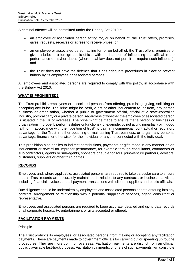A criminal offence will be committed under the Bribery Act 2010 if:

- an employee or associated person acting for, or on behalf of, the Trust offers, promises, gives, requests, receives or agrees to receive bribes; or
- an employee or associated person acting for, or on behalf of, the Trust offers, promises or gives a bribe to a foreign public official with the intention of influencing that official in the performance of his/her duties (where local law does not permit or require such influence); and
- the Trust does not have the defence that it has adequate procedures in place to prevent bribery by its employees or associated persons.

All employees and associated persons are required to comply with this policy, in accordance with the Bribery Act 2010.

## **WHAT IS PROHIBITED?**

The Trust prohibits employees or associated persons from offering, promising, giving, soliciting or accepting any bribe. The bribe might be cash, a gift or other inducement to, or from, any person business or organisation, whether a public or government official, official of a state-controlled industry, political party or a private person, regardless of whether the employee or associated person is situated in the UK or overseas. The bribe might be made to ensure that a person or business or organisation improperly performs duties or functions (for example, by not acting impartially or in good faith or in accordance with their position of trust) to gain any commercial, contractual or regulatory advantage for the Trust in either obtaining or maintaining Trust business, or to gain any personal advantage, financial or otherwise, for the individual or anyone connected with the individual.

This prohibition also applies to indirect contributions, payments or gifts made in any manner as an inducement or reward for improper performance, for example through consultants, contractors or sub-contractors, agents or sub-agents, sponsors or sub-sponsors, joint-venture partners, advisors, customers, suppliers or other third parties.

## **RECORDS**

Employees and, where applicable, associated persons, are required to take particular care to ensure that all Trust records are accurately maintained in relation to any contracts or business activities, including financial invoices and all payment transactions with clients, suppliers and public officials.

Due diligence should be undertaken by employees and associated persons prior to entering into any contract, arrangement or relationship with a potential supplier of services, agent, consultant or representative.

Employees and associated persons are required to keep accurate, detailed and up-to-date records of all corporate hospitality, entertainment or gifts accepted or offered.

## **FACILITATION PAYMENTS**

#### Principle

The Trust prohibits its employees, or associated persons, from making or accepting any facilitation payments. These are payments made to government officials for carrying out or speeding up routine procedures. They are more common overseas. Facilitation payments are distinct from an official, publicly available fast-track process. Facilitation payments, or offers of such payments, will constitute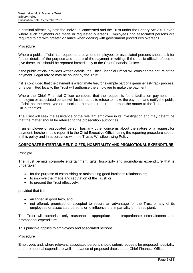a criminal offence by both the individual concerned and the Trust under the Bribery Act 2010, even where such payments are made or requested overseas. Employees and associated persons are required to act with greater vigilance when dealing with government procedures overseas.

#### Procedure

Where a public official has requested a payment, employees or associated persons should ask for further details of the purpose and nature of the payment in writing. If the public official refuses to give these, this should be reported immediately to the Chief Financial Officer.

If the public official provides written details, the Chief Financial Officer will consider the nature of the payment. Legal advice may be sought by the Trust.

If it is concluded that the payment is a legitimate fee, for example part of a genuine fast-track process, or is permitted locally, the Trust will authorise the employee to make the payment.

Where the Chief Financial Officer considers that the request is for a facilitation payment, the employee or associated person will be instructed to refuse to make the payment and notify the public official that the employee or associated person is required to report the matter to the Trust and the UK authorities.

The Trust will seek the assistance of the relevant employee in its investigation and may determine that the matter should be referred to the prosecution authorities.

If an employee or associated person has any other concerns about the nature of a request for payment, he/she should report it to the Chief Executive Officer using the reporting procedure set out in this policy and in accordance with the Trust's Whistleblowing Policy.

## **CORPORATE ENTERTAINMENT, GIFTS, HOSPITALITY AND PROMOTIONAL EXPENDITURE**

#### Principle

The Trust permits corporate entertainment, gifts, hospitality and promotional expenditure that is undertaken:

- for the purpose of establishing or maintaining good business relationships;
- to improve the image and reputation of the Trust; or
- to present the Trust effectively;

provided that it is:

- arranged in good faith, and
- not offered, promised or accepted to secure an advantage for the Trust or any of its employees or associated persons or to influence the impartiality of the recipient.

The Trust will authorise only reasonable, appropriate and proportionate entertainment and promotional expenditure.

This principle applies to employees and associated persons.

#### **Procedure**

Employees and, where relevant, associated persons should submit requests for proposed hospitality and promotional expenditure well in advance of proposed dates to the Chief Financial Officer.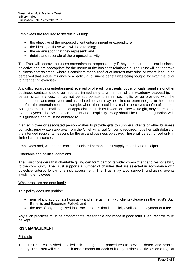Employees are required to set out in writing:

- the objective of the proposed client entertainment or expenditure;
- the identity of those who will be attending;
- the organisation that they represent; and
- details and rationale of the proposed activity.

The Trust will approve business entertainment proposals only if they demonstrate a clear business objective and are appropriate for the nature of the business relationship. The Trust will not approve business entertainment where it considers that a conflict of interest may arise or where it could be perceived that undue influence or a particular business benefit was being sought (for example, prior to a tendering exercise).

Any gifts, rewards or entertainment received or offered from clients, public officials, suppliers or other business contacts should be reported immediately to a member of the Academy Leadership. In certain circumstances, it may not be appropriate to retain such gifts or be provided with the entertainment and employees and associated persons may be asked to return the gifts to the sender or refuse the entertainment, for example, where there could be a real or perceived conflict of interest. As a general rule, small tokens of appreciation, such as flowers or a low value gift, may be retained by employees. The Acceptance of Gifts and Hospitality Policy should be read in conjunction with this guidance and must be adhered to.

If an employee or associated person wishes to provide gifts to suppliers, clients or other business contacts, prior written approval from the Chief Financial Officer is required, together with details of the intended recipients, reasons for the gift and business objective. These will be authorised only in limited circumstances.

Employees and, where applicable, associated persons must supply records and receipts.

#### Charitable and political donations

The Trust considers that charitable giving can form part of its wider commitment and responsibility to the community. The Trust supports a number of charities that are selected in accordance with objective criteria, following a risk assessment. The Trust may also support fundraising events involving employees.

#### What practices are permitted?

This policy does not prohibit:

- normal and appropriate hospitality and entertainment with clients (please see the Trust's Staff Benefits and Expenses Policy); and
- the use of any recognised fast-track process that is publicly available on payment of a fee.

Any such practices must be proportionate, reasonable and made in good faith. Clear records must be kept.

#### **RISK MANAGEMENT**

#### **Principle**

The Trust has established detailed risk management procedures to prevent, detect and prohibit bribery. The Trust will conduct risk assessments for each of its key business activities on a regular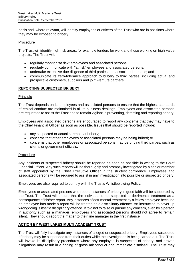basis and, where relevant, will identify employees or officers of the Trust who are in positions where they may be exposed to bribery.

#### Procedure

The Trust will identify high-risk areas, for example tenders for work and those working on high-value projects. The Trust will:

- regularly monitor "at risk" employees and associated persons;
- regularly communicate with "at risk" employees and associated persons;
- undertake extensive due diligence of third parties and associated persons; and
- communicate its zero-tolerance approach to bribery to third parties, including actual and prospective customers, suppliers and joint-venture partners.

#### **REPORTING SUSPECTED BRIBERY**

#### Principle

The Trust depends on its employees and associated persons to ensure that the highest standards of ethical conduct are maintained in all its business dealings. Employees and associated persons are requested to assist the Trust and to remain vigilant in preventing, detecting and reporting bribery.

Employees and associated persons are encouraged to report any concerns that they may have to the Chief Financial Officer as soon as possible. Issues that should be reported include:

- any suspected or actual attempts at bribery;
- concerns that other employees or associated persons may be being bribed; or
- concerns that other employees or associated persons may be bribing third parties, such as clients or government officials.

#### Procedure

Any incidents of suspected bribery should be reported as soon as possible in writing to the Chief Financial Officer. Any such reports will be thoroughly and promptly investigated by a senior member of staff appointed by the Chief Executive Officer in the strictest confidence. Employees and associated persons will be required to assist in any investigation into possible or suspected bribery.

Employees are also required to comply with the Trust's Whistleblowing Policy.

Employees or associated persons who report instances of bribery in good faith will be supported by the Trust. The Trust will ensure that the individual is not subjected to detrimental treatment as a consequence of his/her report. Any instances of detrimental treatment by a fellow employee because an employee has made a report will be treated as a disciplinary offence. An instruction to cover up wrongdoing is itself a disciplinary offence. If told not to raise or pursue any concern, even by a person in authority such as a manager, employees and associated persons should not agree to remain silent. They should report the matter to their line manager in the first instance

## **ACTION BY WEST LAKES MULTI ACADEMY TRUST**

The Trust will fully investigate any instances of alleged or suspected bribery. Employees suspected of bribery may be suspended from their duties while the investigation is being carried out. The Trust will invoke its disciplinary procedures where any employee is suspected of bribery, and proven allegations may result in a finding of gross misconduct and immediate dismissal. The Trust may